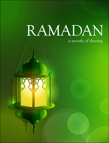## RAMADAN

## a month of sharing

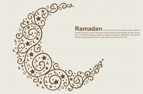## **Ramadan**

LS,

Fasting during the month of Ramadan is one of the five core practices of Islam. Ramadan is a month of blessing marked by charity and prayer for all Muslims. All means of worship during Ramadan focus on self-sacrifice and devotion to God. is the ninth month of the Islamic lunar calendar.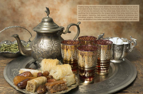Fasting during Ramadan involves abstaining from food, drink and sexual activity from dawn to dusk. However, true fasting involves more than this. Fasting is an act of not only the stomach, but the whole body. Eyes refrain from looking at anything that is blameworthy; the tongue refrains from lying, backbiting, abusive speech, hypocrisy, hate speech, and so on. If fasting is understood and actualized properly, Ramadan becomes a time to practice self-control, kindness, self-discipline to be a better person, and to improve our relationship with others.

3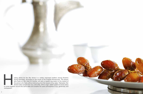

osting others for the *iftar* dinner is a widely exercised tradition among Muslims during Ramadan. According to the words of the Prophet Muhammad, "the person who hosts an *iftar* meal for another will earn a reward equivalent to the reward of the person who fasts without detracting from the reward of the latter." Ramadan *iftar* dinners allow people from any nationality, ethnic origin, belief system or social status osting others for the *iftar* dinner is a widely exercised tradition among Muslims<br>during Ramadan. According to the words of the Prophet Muhammad, "the person<br>who hosts an *iftar* meal for another will earn a reward equiva compassion.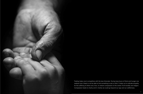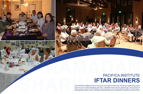



## **IFTAR DINNERS RACIFICA INSTITUTE** PACIFICA INSTITUTE

10 11 bring people closer and to cultivate understanding and compassion between communities. The Pacifica Institute aims to live up to the exerts such as fast-breaking dinners, it bring people closer and to cultivate unders The Pacifica Institute aims to live up to the spirit of this holy month by organizing many events such as fast-breaking dinners, interfaith-intercultural gatherings, and panels to

![](_page_5_Picture_4.jpeg)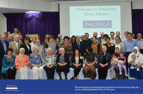![](_page_6_Picture_0.jpeg)

![](_page_6_Picture_1.jpeg)

12 13 We would love to break bread and share our food and joy with you, www.pacificainstitute.org  $\blacksquare$